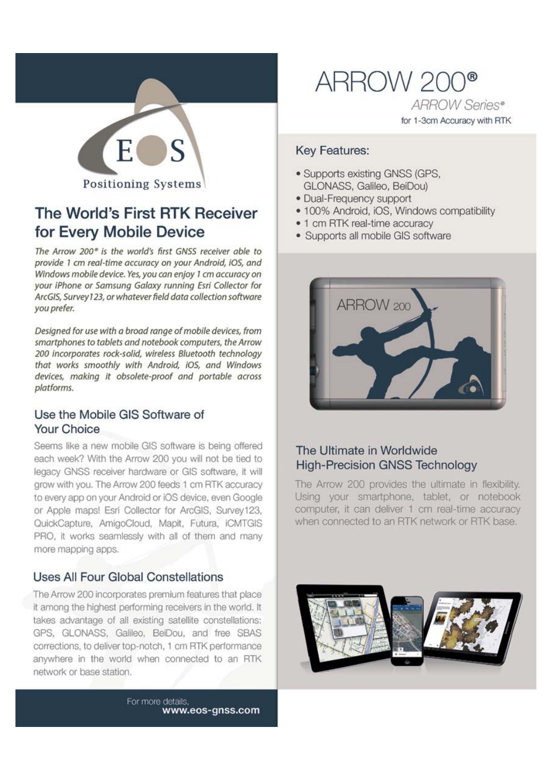

# The World's First RTK Receiver for Every Mobile Device

The Arrow 200° is the world's first GNSS receiver able to provide 1 cm real-time accuracy on your Android, iOS, and Windows mobile device. Yes, you can enjoy 1 cm accuracy on your iPhone or Samsung Galaxy running Esri Collector for ArcGIS, Survey123, or whatever field data collection software you prefer.

Designed for use with a broad range of mobile devices, from smartphones to tablets and notebook computers, the Arrow 200 incorporates rock-solid, wireless Bluetooth technology that works smoothly with Android, iOS, and Windows devices, making it obsolete-proof and portable across platforms.

# Use the Mobile GIS Software of Your Choice

Seems like a new mobile GIS software is being offered each week? With the Arrow 200 you will not be tied to legacy GNSS receiver hardware or GIS software, it will grow with you. The Arrow 200 feeds 1 cm RTK accuracy to every app on your Android or iOS device, even Google or Apple maps! Esri Collector for ArcGIS, Survey123, QuickCapture, AmigoCloud, Mapit, Futura, iCMTGIS PRO, it works seamlessly with all of them and many more mapping apps.

# **Uses All Four Global Constellations**

The Arrow 200 incorporates premium features that place it among the highest performing receivers in the world. It takes advantage of all existing satellite constellations: GPS, GLONASS, Galileo, BeiDou, and free SBAS corrections, to deliver top-notch, 1 cm RTK performance anywhere in the world when connected to an RTK network or base station.

> For more details. www.eos-gnss.com

ARROW 200® **ARROW Series®** for 1-3cm Accuracy with RTK

## **Kev Features:**

- · Supports existing GNSS (GPS. GLONASS, Galileo, BeiDou)
- · Dual-Frequency support
- · 100% Android, iOS, Windows compatibility
- 1 cm RTK real-time accuracy
- Supports all mobile GIS software



# The Ultimate in Worldwide **High-Precision GNSS Technology**

The Arrow 200 provides the ultimate in flexibility. Using your smartphone, tablet, or notebook computer, it can deliver 1 cm real-time accuracy when connected to an RTK network or RTK base.